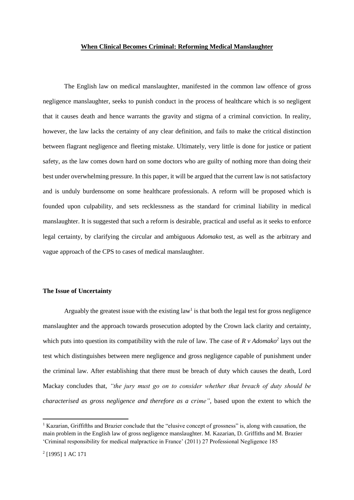#### **When Clinical Becomes Criminal: Reforming Medical Manslaughter**

The English law on medical manslaughter, manifested in the common law offence of gross negligence manslaughter, seeks to punish conduct in the process of healthcare which is so negligent that it causes death and hence warrants the gravity and stigma of a criminal conviction. In reality, however, the law lacks the certainty of any clear definition, and fails to make the critical distinction between flagrant negligence and fleeting mistake. Ultimately, very little is done for justice or patient safety, as the law comes down hard on some doctors who are guilty of nothing more than doing their best under overwhelming pressure. In this paper, it will be argued that the current law is not satisfactory and is unduly burdensome on some healthcare professionals. A reform will be proposed which is founded upon culpability, and sets recklessness as the standard for criminal liability in medical manslaughter. It is suggested that such a reform is desirable, practical and useful as it seeks to enforce legal certainty, by clarifying the circular and ambiguous *Adomako* test, as well as the arbitrary and vague approach of the CPS to cases of medical manslaughter.

#### **The Issue of Uncertainty**

Arguably the greatest issue with the existing law<sup>1</sup> is that both the legal test for gross negligence manslaughter and the approach towards prosecution adopted by the Crown lack clarity and certainty, which puts into question its compatibility with the rule of law. The case of  $R v$  Adomako<sup>2</sup> lays out the test which distinguishes between mere negligence and gross negligence capable of punishment under the criminal law. After establishing that there must be breach of duty which causes the death, Lord Mackay concludes that, *"the jury must go on to consider whether that breach of duty should be characterised as gross negligence and therefore as a crime"*, based upon the extent to which the

<sup>&</sup>lt;sup>1</sup> Kazarian, Griffifths and Brazier conclude that the "elusive concept of grossness" is, along with causation, the main problem in the English law of gross negligence manslaughter. M. Kazarian, D. Griffiths and M. Brazier 'Criminal responsibility for medical malpractice in France' (2011) 27 Professional Negligence 185

<sup>2</sup> [1995] 1 AC 171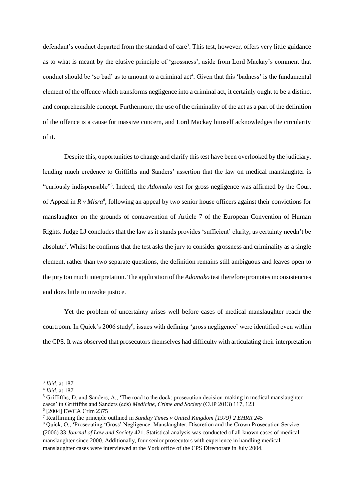defendant's conduct departed from the standard of care<sup>3</sup>. This test, however, offers very little guidance as to what is meant by the elusive principle of 'grossness', aside from Lord Mackay's comment that conduct should be 'so bad' as to amount to a criminal act<sup>4</sup>. Given that this 'badness' is the fundamental element of the offence which transforms negligence into a criminal act, it certainly ought to be a distinct and comprehensible concept. Furthermore, the use of the criminality of the act as a part of the definition of the offence is a cause for massive concern, and Lord Mackay himself acknowledges the circularity of it.

Despite this, opportunities to change and clarify this test have been overlooked by the judiciary, lending much credence to Griffiths and Sanders' assertion that the law on medical manslaughter is "curiously indispensable"<sup>5</sup> . Indeed, the *Adomako* test for gross negligence was affirmed by the Court of Appeal in *R v Misra*<sup>6</sup>, following an appeal by two senior house officers against their convictions for manslaughter on the grounds of contravention of Article 7 of the European Convention of Human Rights. Judge LJ concludes that the law as it stands provides 'sufficient' clarity, as certainty needn't be absolute<sup>7</sup>. Whilst he confirms that the test asks the jury to consider grossness and criminality as a single element, rather than two separate questions, the definition remains still ambiguous and leaves open to the jury too much interpretation. The application of the *Adomako* test therefore promotes inconsistencies and does little to invoke justice.

Yet the problem of uncertainty arises well before cases of medical manslaughter reach the courtroom. In Quick's 2006 study<sup>8</sup>, issues with defining 'gross negligence' were identified even within the CPS. It was observed that prosecutors themselves had difficulty with articulating their interpretation

<sup>3</sup> *Ibid.* at 187

<sup>4</sup> *Ibid.* at 187

<sup>5</sup> Griffifths, D. and Sanders, A., 'The road to the dock: prosecution decision-making in medical manslaughter cases' in Griffifths and Sanders (eds) *Medicine, Crime and Society* (CUP 2013) 117, 123 6 [2004] EWCA Crim 2375

<sup>7</sup> Reaffirming the principle outlined in *Sunday Times v United Kingdom [1979] 2 EHRR 245*

<sup>8</sup> Quick, O., 'Prosecuting 'Gross' Negligence: Manslaughter, Discretion and the Crown Prosecution Service (2006) 33 *Journal of Law and Society* 421. Statistical analysis was conducted of all known cases of medical manslaughter since 2000. Additionally, four senior prosecutors with experience in handling medical manslaughter cases were interviewed at the York office of the CPS Directorate in July 2004.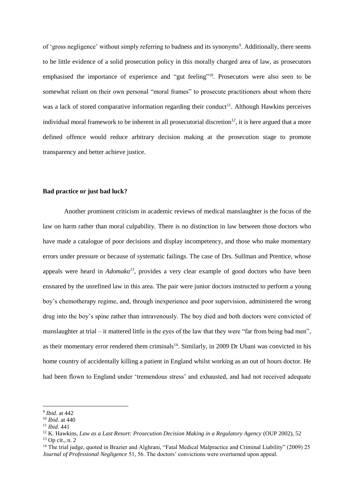of 'gross negligence' without simply referring to badness and its synonyms<sup>9</sup>. Additionally, there seems to be little evidence of a solid prosecution policy in this morally charged area of law, as prosecutors emphasised the importance of experience and "gut feeling"<sup>10</sup>. Prosecutors were also seen to be somewhat reliant on their own personal "moral frames" to prosecute practitioners about whom there was a lack of stored comparative information regarding their conduct<sup>11</sup>. Although Hawkins perceives individual moral framework to be inherent in all prosecutorial discretion<sup>12</sup>, it is here argued that a more defined offence would reduce arbitrary decision making at the prosecution stage to promote transparency and better achieve justice.

# **Bad practice or just bad luck?**

Another prominent criticism in academic reviews of medical manslaughter is the focus of the law on harm rather than moral culpability. There is no distinction in law between those doctors who have made a catalogue of poor decisions and display incompetency, and those who make momentary errors under pressure or because of systematic failings. The case of Drs. Sullman and Prentice, whose appeals were heard in *Adomako<sup>13</sup>*, provides a very clear example of good doctors who have been ensnared by the unrefined law in this area. The pair were junior doctors instructed to perform a young boy's chemotherapy regime, and, through inexperience and poor supervision, administered the wrong drug into the boy's spine rather than intravenously. The boy died and both doctors were convicted of manslaughter at trial – it mattered little in the eyes of the law that they were "far from being bad men", as their momentary error rendered them criminals<sup>14</sup>. Similarly, in 2009 Dr Ubani was convicted in his home country of accidentally killing a patient in England whilst working as an out of hours doctor. He had been flown to England under 'tremendous stress' and exhausted, and had not received adequate

<sup>9</sup> *Ibid.* at 442

<sup>10</sup> *Ibid.* at 440

<sup>11</sup> *Ibid.* 441

<sup>&</sup>lt;sup>12</sup> K. Hawkins, *Law as a Last Resort: Prosecution Decision Making in a Regulatory Agency* (OUP 2002), 52

 $13$  Op cit., n. 2.

<sup>&</sup>lt;sup>14</sup> The trial judge, quoted in Brazier and Alghrani, "Fatal Medical Malpractice and Criminal Liability" (2009) 25 *Journal of Professional Negligence* 51, 56. The doctors' convictions were overturned upon appeal.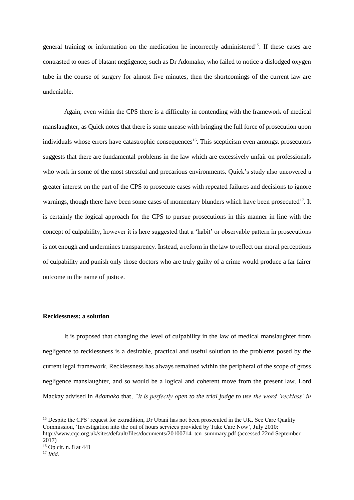general training or information on the medication he incorrectly administered<sup>15</sup>. If these cases are contrasted to ones of blatant negligence, such as Dr Adomako, who failed to notice a dislodged oxygen tube in the course of surgery for almost five minutes, then the shortcomings of the current law are undeniable.

Again, even within the CPS there is a difficulty in contending with the framework of medical manslaughter, as Quick notes that there is some unease with bringing the full force of prosecution upon individuals whose errors have catastrophic consequences<sup>16</sup>. This scepticism even amongst prosecutors suggests that there are fundamental problems in the law which are excessively unfair on professionals who work in some of the most stressful and precarious environments. Quick's study also uncovered a greater interest on the part of the CPS to prosecute cases with repeated failures and decisions to ignore warnings, though there have been some cases of momentary blunders which have been prosecuted<sup>17</sup>. It is certainly the logical approach for the CPS to pursue prosecutions in this manner in line with the concept of culpability, however it is here suggested that a 'habit' or observable pattern in prosecutions is not enough and undermines transparency. Instead, a reform in the law to reflect our moral perceptions of culpability and punish only those doctors who are truly guilty of a crime would produce a far fairer outcome in the name of justice.

# **Recklessness: a solution**

It is proposed that changing the level of culpability in the law of medical manslaughter from negligence to recklessness is a desirable, practical and useful solution to the problems posed by the current legal framework. Recklessness has always remained within the peripheral of the scope of gross negligence manslaughter, and so would be a logical and coherent move from the present law. Lord Mackay advised in *Adomako* that, *"it is perfectly open to the trial judge to use the word 'reckless' in* 

<sup>&</sup>lt;sup>15</sup> Despite the CPS' request for extradition. Dr Ubani has not been prosecuted in the UK. See Care Quality Commission, 'Investigation into the out of hours services provided by Take Care Now', July 2010: http://www.cqc.org.uk/sites/default/files/documents/20100714\_tcn\_summary.pdf (accessed 22nd September 2017)

<sup>16</sup> Op cit. n. 8 at 441

 $17$  *Ibid.*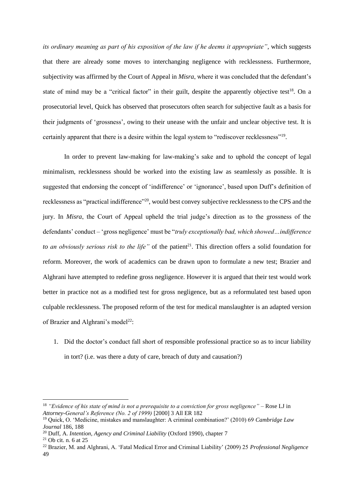*its ordinary meaning as part of his exposition of the law if he deems it appropriate"*, which suggests that there are already some moves to interchanging negligence with recklessness. Furthermore, subjectivity was affirmed by the Court of Appeal in *Misra*, where it was concluded that the defendant's state of mind may be a "critical factor" in their guilt, despite the apparently objective test<sup>18</sup>. On a prosecutorial level, Quick has observed that prosecutors often search for subjective fault as a basis for their judgments of 'grossness', owing to their unease with the unfair and unclear objective test. It is certainly apparent that there is a desire within the legal system to "rediscover recklessness"<sup>19</sup>.

In order to prevent law-making for law-making's sake and to uphold the concept of legal minimalism, recklessness should be worked into the existing law as seamlessly as possible. It is suggested that endorsing the concept of 'indifference' or 'ignorance', based upon Duff's definition of recklessness as "practical indifference"<sup>20</sup>, would best convey subjective recklessness to the CPS and the jury. In *Misra*, the Court of Appeal upheld the trial judge's direction as to the grossness of the defendants' conduct – 'gross negligence' must be "*truly exceptionally bad, which showed…indifference to* an obviously serious risk to the life" of the patient<sup>21</sup>. This direction offers a solid foundation for reform. Moreover, the work of academics can be drawn upon to formulate a new test; Brazier and Alghrani have attempted to redefine gross negligence. However it is argued that their test would work better in practice not as a modified test for gross negligence, but as a reformulated test based upon culpable recklessness. The proposed reform of the test for medical manslaughter is an adapted version of Brazier and Alghrani's model<sup>22</sup>:

1. Did the doctor's conduct fall short of responsible professional practice so as to incur liability in tort? (i.e. was there a duty of care, breach of duty and causation?)

1

<sup>18</sup> *"Evidence of his state of mind is not a prerequisite to a conviction for gross negligence"* – Rose LJ in *Attorney-General's Reference (No. 2 of 1999)* [2000] 3 All ER 182

<sup>19</sup> Quick, O. 'Medicine, mistakes and manslaughter: A criminal combination?' (2010) 69 *Cambridge Law Journal* 186, 188

<sup>20</sup> Duff, A. *Intention, Agency and Criminal Liability* (Oxford 1990), chapter 7

 $21$  Ob cit. n. 6 at 25

<sup>22</sup> Brazier, M. and Alghrani, A. 'Fatal Medical Error and Criminal Liability' (2009) 25 *Professional Negligence* 49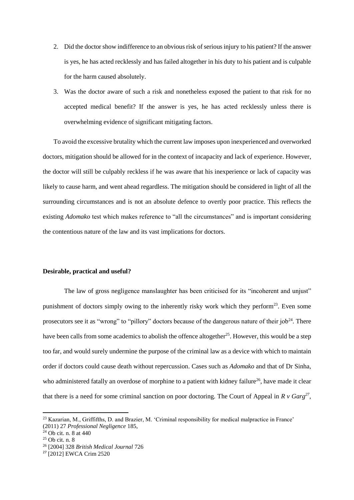- 2. Did the doctor show indifference to an obvious risk of serious injury to his patient? If the answer is yes, he has acted recklessly and has failed altogether in his duty to his patient and is culpable for the harm caused absolutely.
- 3. Was the doctor aware of such a risk and nonetheless exposed the patient to that risk for no accepted medical benefit? If the answer is yes, he has acted recklessly unless there is overwhelming evidence of significant mitigating factors.

To avoid the excessive brutality which the current law imposes upon inexperienced and overworked doctors, mitigation should be allowed for in the context of incapacity and lack of experience. However, the doctor will still be culpably reckless if he was aware that his inexperience or lack of capacity was likely to cause harm, and went ahead regardless. The mitigation should be considered in light of all the surrounding circumstances and is not an absolute defence to overtly poor practice. This reflects the existing *Adomako* test which makes reference to "all the circumstances" and is important considering the contentious nature of the law and its vast implications for doctors.

# **Desirable, practical and useful?**

The law of gross negligence manslaughter has been criticised for its "incoherent and unjust" punishment of doctors simply owing to the inherently risky work which they perform<sup>23</sup>. Even some prosecutors see it as "wrong" to "pillory" doctors because of the dangerous nature of their job<sup>24</sup>. There have been calls from some academics to abolish the offence altogether<sup>25</sup>. However, this would be a step too far, and would surely undermine the purpose of the criminal law as a device with which to maintain order if doctors could cause death without repercussion. Cases such as *Adomako* and that of Dr Sinha, who administered fatally an overdose of morphine to a patient with kidney failure<sup>26</sup>, have made it clear that there is a need for some criminal sanction on poor doctoring. The Court of Appeal in  $R v G \text{arg}^{27}$ ,

<sup>23</sup> Kazarian, M., Griffifths, D. and Brazier, M. 'Criminal responsibility for medical malpractice in France' (2011) 27 *Professional Negligence* 185,

 $24$  Ob cit. n. 8 at 440

 $25$  Ob cit. n. 8

<sup>26</sup> [2004] 328 *British Medical Journal* 726

<sup>27</sup> [2012] EWCA Crim 2520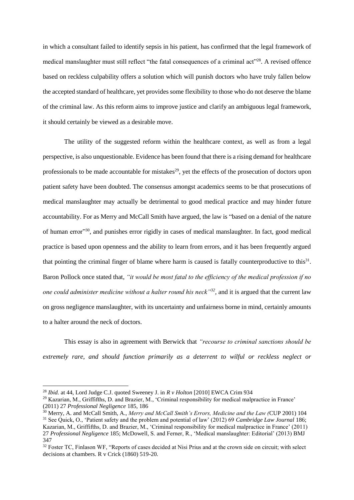in which a consultant failed to identify sepsis in his patient, has confirmed that the legal framework of medical manslaughter must still reflect "the fatal consequences of a criminal act"<sup>28</sup>. A revised offence based on reckless culpability offers a solution which will punish doctors who have truly fallen below the accepted standard of healthcare, yet provides some flexibility to those who do not deserve the blame of the criminal law. As this reform aims to improve justice and clarify an ambiguous legal framework, it should certainly be viewed as a desirable move.

The utility of the suggested reform within the healthcare context, as well as from a legal perspective, is also unquestionable. Evidence has been found that there is a rising demand for healthcare professionals to be made accountable for mistakes<sup>29</sup>, yet the effects of the prosecution of doctors upon patient safety have been doubted. The consensus amongst academics seems to be that prosecutions of medical manslaughter may actually be detrimental to good medical practice and may hinder future accountability. For as Merry and McCall Smith have argued, the law is "based on a denial of the nature of human error"<sup>30</sup>, and punishes error rigidly in cases of medical manslaughter. In fact, good medical practice is based upon openness and the ability to learn from errors, and it has been frequently argued that pointing the criminal finger of blame where harm is caused is fatally counterproductive to this $31$ . Baron Pollock once stated that, *"it would be most fatal to the efficiency of the medical profession if no one could administer medicine without a halter round his neck"<sup>32</sup>, and it is argued that the current law* on gross negligence manslaughter, with its uncertainty and unfairness borne in mind, certainly amounts to a halter around the neck of doctors.

This essay is also in agreement with Berwick that *"recourse to criminal sanctions should be extremely rare, and should function primarily as a deterrent to wilful or reckless neglect or* 

<sup>28</sup> *Ibid.* at 44, Lord Judge C.J. quoted Sweeney J. in *R v Holton* [2010] EWCA Crim 934

<sup>&</sup>lt;sup>29</sup> Kazarian, M., Griffifths, D. and Brazier, M., 'Criminal responsibility for medical malpractice in France' (2011) 27 *Professional Negligence* 185, 186

<sup>30</sup> Merry, A. and McCall Smith, A., *Merry and McCall Smith's Errors, Medicine and the Law (*CUP 2001) 104 <sup>31</sup> See Quick, O., 'Patient safety and the problem and potential of law' (2012) 69 *Cambridge Law Journal* 186; Kazarian, M., Griffifths, D. and Brazier, M., 'Criminal responsibility for medical malpractice in France' (2011) 27 *Professional Negligence* 185; McDowell, S. and Ferner, R., 'Medical manslaughter: Editorial' (2013) BMJ 347

<sup>&</sup>lt;sup>32</sup> Foster TC, Finlason WF, "Reports of cases decided at Nisi Prius and at the crown side on circuit; with select decisions at chambers. R v Crick (1860) 519-20.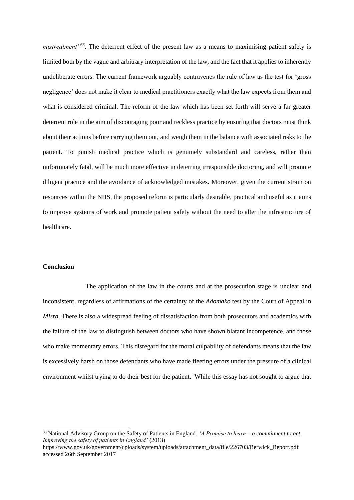*mistreatment"<sup>33</sup>* . The deterrent effect of the present law as a means to maximising patient safety is limited both by the vague and arbitrary interpretation of the law, and the fact that it applies to inherently undeliberate errors. The current framework arguably contravenes the rule of law as the test for 'gross negligence' does not make it clear to medical practitioners exactly what the law expects from them and what is considered criminal. The reform of the law which has been set forth will serve a far greater deterrent role in the aim of discouraging poor and reckless practice by ensuring that doctors must think about their actions before carrying them out, and weigh them in the balance with associated risks to the patient. To punish medical practice which is genuinely substandard and careless, rather than unfortunately fatal, will be much more effective in deterring irresponsible doctoring, and will promote diligent practice and the avoidance of acknowledged mistakes. Moreover, given the current strain on resources within the NHS, the proposed reform is particularly desirable, practical and useful as it aims to improve systems of work and promote patient safety without the need to alter the infrastructure of healthcare.

#### **Conclusion**

**.** 

The application of the law in the courts and at the prosecution stage is unclear and inconsistent, regardless of affirmations of the certainty of the *Adomako* test by the Court of Appeal in *Misra*. There is also a widespread feeling of dissatisfaction from both prosecutors and academics with the failure of the law to distinguish between doctors who have shown blatant incompetence, and those who make momentary errors. This disregard for the moral culpability of defendants means that the law is excessively harsh on those defendants who have made fleeting errors under the pressure of a clinical environment whilst trying to do their best for the patient. While this essay has not sought to argue that

<sup>33</sup> National Advisory Group on the Safety of Patients in England. *'A Promise to learn – a commitment to act. Improving the safety of patients in England'* (2013)

https://www.gov.uk/government/uploads/system/uploads/attachment\_data/file/226703/Berwick\_Report.pdf accessed 26th September 2017